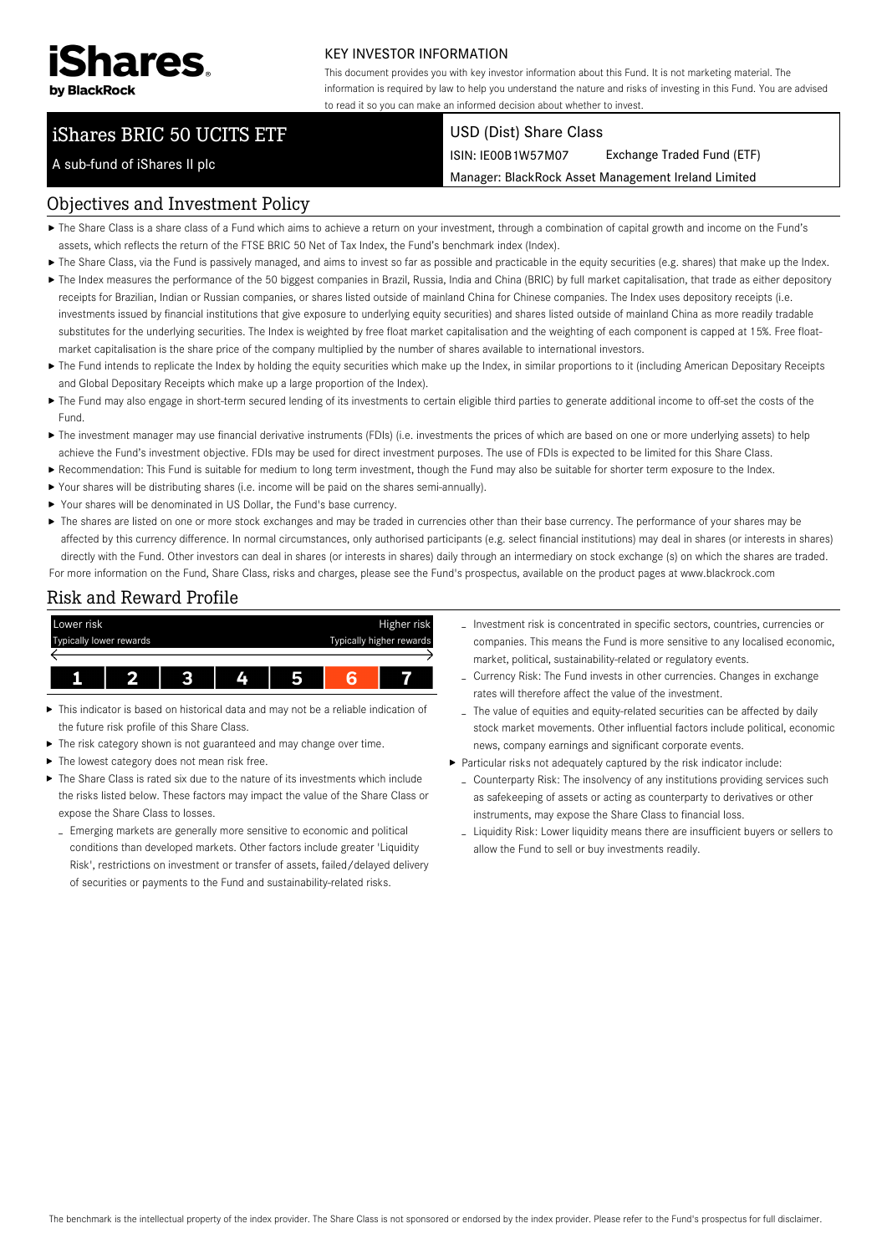

A sub-fund of iShares II plc

### KEY INVESTOR INFORMATION

This document provides you with key investor information about this Fund. It is not marketing material. The information is required by law to help you understand the nature and risks of investing in this Fund. You are advised to read it so you can make an informed decision about whether to invest.

# iShares BRIC 50 UCITS ETF

#### USD (Dist) Share Class

ISIN: IE00B1W57M07 Exchange Traded Fund (ETF)

Manager: BlackRock Asset Management Ireland Limited

## Objectives and Investment Policy

- The Share Class is a share class of a Fund which aims to achieve a return on your investment, through a combination of capital growth and income on the Fund's assets, which reflects the return of the FTSE BRIC 50 Net of Tax Index, the Fund's benchmark index (Index).
- ▶ The Share Class, via the Fund is passively managed, and aims to invest so far as possible and practicable in the equity securities (e.g. shares) that make up the Index.
- ▶ The Index measures the performance of the 50 biggest companies in Brazil, Russia, India and China (BRIC) by full market capitalisation, that trade as either depository receipts for Brazilian, Indian or Russian companies, or shares listed outside of mainland China for Chinese companies. The Index uses depository receipts (i.e. investments issued by financial institutions that give exposure to underlying equity securities) and shares listed outside of mainland China as more readily tradable substitutes for the underlying securities. The Index is weighted by free float market capitalisation and the weighting of each component is capped at 15%. Free floatmarket capitalisation is the share price of the company multiplied by the number of shares available to international investors.
- ▶ The Fund intends to replicate the Index by holding the equity securities which make up the Index, in similar proportions to it (including American Depositary Receipts and Global Depositary Receipts which make up a large proportion of the Index).
- ▶ The Fund may also engage in short-term secured lending of its investments to certain eligible third parties to generate additional income to off-set the costs of the Fund.
- ▶ The investment manager may use financial derivative instruments (FDIs) (i.e. investments the prices of which are based on one or more underlying assets) to help achieve the Fund's investment objective. FDIs may be used for direct investment purposes. The use of FDIs is expected to be limited for this Share Class.
- Recommendation: This Fund is suitable for medium to long term investment, though the Fund may also be suitable for shorter term exposure to the Index.
- Your shares will be distributing shares (i.e. income will be paid on the shares semi-annually).
- Your shares will be denominated in US Dollar, the Fund's base currency.
- ▶ The shares are listed on one or more stock exchanges and may be traded in currencies other than their base currency. The performance of your shares may be affected by this currency difference. In normal circumstances, only authorised participants (e.g. select financial institutions) may deal in shares (or interests in shares) directly with the Fund. Other investors can deal in shares (or interests in shares) daily through an intermediary on stock exchange (s) on which the shares are traded. For more information on the Fund, Share Class, risks and charges, please see the Fund's prospectus, available on the product pages at www.blackrock.com

#### Risk and Reward Profile



- This indicator is based on historical data and may not be a reliable indication of ь the future risk profile of this Share Class.
- The risk category shown is not guaranteed and may change over time.
- The lowest category does not mean risk free.
- $\triangleright$  The Share Class is rated six due to the nature of its investments which include the risks listed below. These factors may impact the value of the Share Class or expose the Share Class to losses.
	- Emerging markets are generally more sensitive to economic and political conditions than developed markets. Other factors include greater 'Liquidity Risk', restrictions on investment or transfer of assets, failed/delayed delivery of securities or payments to the Fund and sustainability-related risks.
- Investment risk is concentrated in specific sectors, countries, currencies or companies. This means the Fund is more sensitive to any localised economic, market, political, sustainability-related or regulatory events.
- Currency Risk: The Fund invests in other currencies. Changes in exchange rates will therefore affect the value of the investment.
- The value of equities and equity-related securities can be affected by daily stock market movements. Other influential factors include political, economic news, company earnings and significant corporate events.
- Particular risks not adequately captured by the risk indicator include:
	- Counterparty Risk: The insolvency of any institutions providing services such as safekeeping of assets or acting as counterparty to derivatives or other instruments, may expose the Share Class to financial loss.
	- Liquidity Risk: Lower liquidity means there are insufficient buyers or sellers to allow the Fund to sell or buy investments readily.